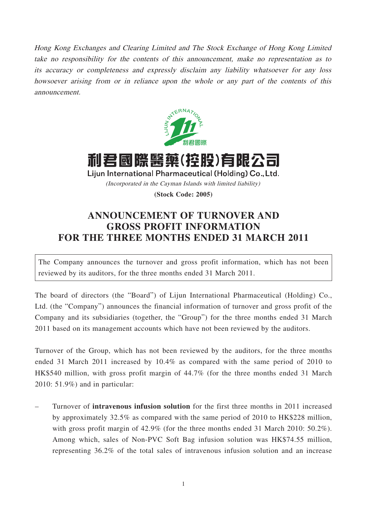Hong Kong Exchanges and Clearing Limited and The Stock Exchange of Hong Kong Limited take no responsibility for the contents of this announcement, make no representation as to its accuracy or completeness and expressly disclaim any liability whatsoever for any loss howsoever arising from or in reliance upon the whole or any part of the contents of this announcement.



利君國際醫藥(控股)有限公司 Lijun International Pharmaceutical (Holding) Co., Ltd. (Incorporated in the Cayman Islands with limited liability)

**(Stock Code: 2005)**

## **ANNOUNCEMENT OF TURNOVER AND GROSS PROFIT INFORMATION FOR THE THREE MONTHS ENDED 31 MARCH 2011**

The Company announces the turnover and gross profit information, which has not been reviewed by its auditors, for the three months ended 31 March 2011.

The board of directors (the "Board") of Lijun International Pharmaceutical (Holding) Co., Ltd. (the "Company") announces the financial information of turnover and gross profit of the Company and its subsidiaries (together, the "Group") for the three months ended 31 March 2011 based on its management accounts which have not been reviewed by the auditors.

Turnover of the Group, which has not been reviewed by the auditors, for the three months ended 31 March 2011 increased by 10.4% as compared with the same period of 2010 to HK\$540 million, with gross profit margin of 44.7% (for the three months ended 31 March 2010: 51.9%) and in particular:

– Turnover of **intravenous infusion solution** for the first three months in 2011 increased by approximately 32.5% as compared with the same period of 2010 to HK\$228 million, with gross profit margin of 42.9% (for the three months ended 31 March 2010: 50.2%). Among which, sales of Non-PVC Soft Bag infusion solution was HK\$74.55 million, representing 36.2% of the total sales of intravenous infusion solution and an increase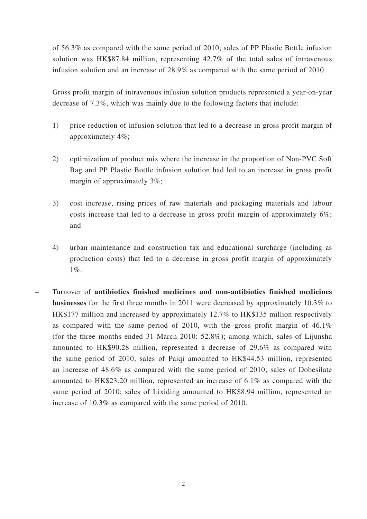of 56.3% as compared with the same period of 2010; sales of PP Plastic Bottle infusion solution was HK\$87.84 million, representing 42.7% of the total sales of intravenous infusion solution and an increase of 28.9% as compared with the same period of 2010.

Gross profit margin of intravenous infusion solution products represented a year-on-year decrease of 7.3%, which was mainly due to the following factors that include:

- 1) price reduction of infusion solution that led to a decrease in gross profit margin of approximately 4%;
- 2) optimization of product mix where the increase in the proportion of Non-PVC Soft Bag and PP Plastic Bottle infusion solution had led to an increase in gross profit margin of approximately 3%;
- 3) cost increase, rising prices of raw materials and packaging materials and labour costs increase that led to a decrease in gross profit margin of approximately 6%; and
- 4) urban maintenance and construction tax and educational surcharge (including as production costs) that led to a decrease in gross profit margin of approximately 1%.
- Turnover of **antibiotics finished medicines and non-antibiotics finished medicines businesses** for the first three months in 2011 were decreased by approximately 10.3% to HK\$177 million and increased by approximately 12.7% to HK\$135 million respectively as compared with the same period of 2010, with the gross profit margin of 46.1% (for the three months ended 31 March 2010: 52.8%); among which, sales of Lijunsha amounted to HK\$90.28 million, represented a decrease of 29.6% as compared with the same period of 2010; sales of Paiqi amounted to HK\$44.53 million, represented an increase of 48.6% as compared with the same period of 2010; sales of Dobesilate amounted to HK\$23.20 million, represented an increase of 6.1% as compared with the same period of 2010; sales of Lixiding amounted to HK\$8.94 million, represented an increase of 10.3% as compared with the same period of 2010.